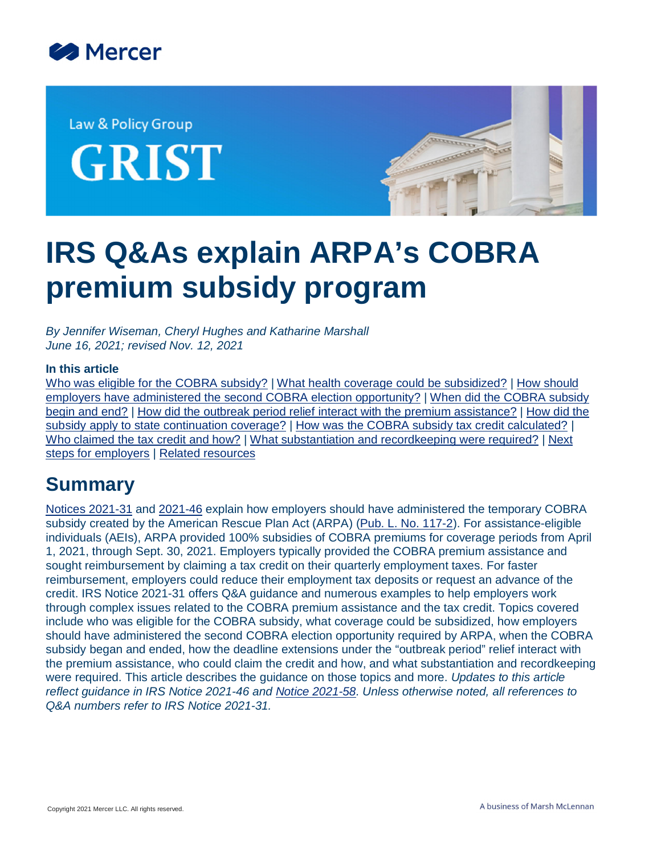

Law & Policy Group

**GRIST** 



# **IRS Q&As explain ARPA's COBRA premium subsidy program**

*By Jennifer Wiseman, Cheryl Hughes and Katharine Marshall June 16, 2021; revised Nov. 12, 2021*

#### **In this article**

[Who was eligible for the COBRA subsidy?](#page-1-0) | [What health coverage could be subsidized?](#page-8-0) | [How should](#page-9-0) [employers have administered the second COBRA election opportunity?](#page-9-0) | [When did the COBRA subsidy](#page-11-0) [begin and end?](#page-11-0) | [How did the outbreak period relief interact with the premium assistance?](#page-11-1) | [How did the](#page-14-0) [subsidy apply to state continuation coverage?](#page-14-0) | [How was the COBRA subsidy tax credit calculated?](#page-14-1) | [Who claimed the tax credit and how?](#page-16-0) | [What substantiation and recordkeeping were required?](#page-18-0) | [Next](#page-19-0) [steps for employers](#page-19-0) | [Related resources](#page-20-0)

## **Summary**

[Notices 2021-31](https://www.irs.gov/pub/irs-drop/n-21-31.pdf) and [2021-46](https://www.irs.gov/pub/irs-drop/n-21-46.pdf) explain how employers should have administered the temporary COBRA subsidy created by the American Rescue Plan Act (ARPA) ([Pub. L. No. 117-2\)](https://www.congress.gov/117/plaws/publ2/PLAW-117publ2.pdf). For assistance-eligible individuals (AEIs), ARPA provided 100% subsidies of COBRA premiums for coverage periods from April 1, 2021, through Sept. 30, 2021. Employers typically provided the COBRA premium assistance and sought reimbursement by claiming a tax credit on their quarterly employment taxes. For faster reimbursement, employers could reduce their employment tax deposits or request an advance of the credit. IRS Notice 2021-31 offers Q&A guidance and numerous examples to help employers work through complex issues related to the COBRA premium assistance and the tax credit. Topics covered include who was eligible for the COBRA subsidy, what coverage could be subsidized, how employers should have administered the second COBRA election opportunity required by ARPA, when the COBRA subsidy began and ended, how the deadline extensions under the "outbreak period" relief interact with the premium assistance, who could claim the credit and how, and what substantiation and recordkeeping were required. This article describes the guidance on those topics and more. *Updates to this article reflect guidance in IRS Notice 2021-46 and [Notice 2021-58](https://www.irs.gov/pub/irs-drop/n-21-58.pdf). Unless otherwise noted, all references to Q&A numbers refer to IRS Notice 2021-31.*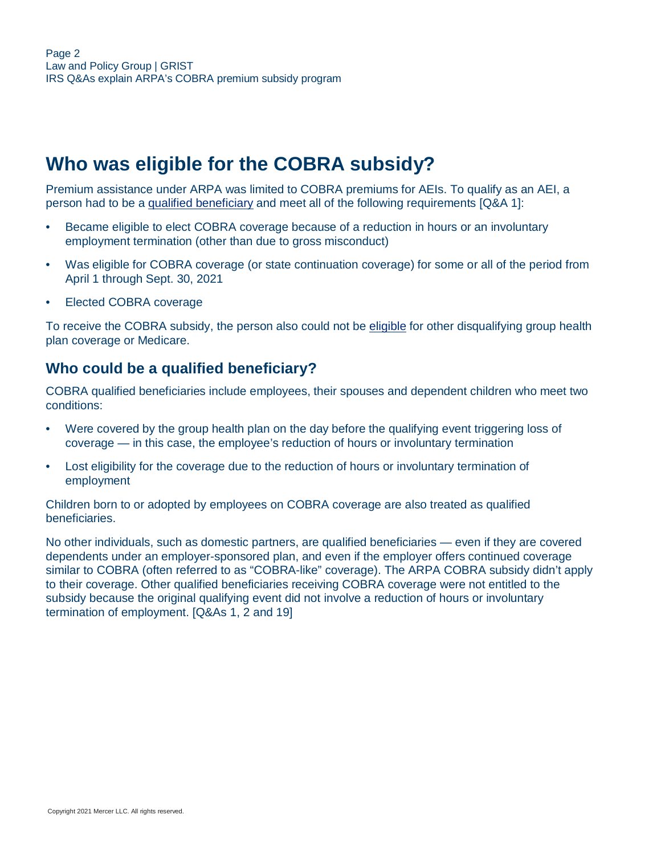# <span id="page-1-0"></span>**Who was eligible for the COBRA subsidy?**

Premium assistance under ARPA was limited to COBRA premiums for AEIs. To qualify as an AEI, a person had to be a [qualified beneficiary](#page-1-1) and meet all of the following requirements [Q&A 1]:

- Became eligible to elect COBRA coverage because of a reduction in hours or an involuntary employment termination (other than due to gross misconduct)
- Was eligible for COBRA coverage (or state continuation coverage) for some or all of the period from April 1 through Sept. 30, 2021
- Elected COBRA coverage

To receive the COBRA subsidy, the person also could not be [eligible](#page-6-0) for other disqualifying group health plan coverage or Medicare.

#### <span id="page-1-1"></span>**Who could be a qualified beneficiary?**

COBRA qualified beneficiaries include employees, their spouses and dependent children who meet two conditions:

- Were covered by the group health plan on the day before the qualifying event triggering loss of coverage — in this case, the employee's reduction of hours or involuntary termination
- Lost eligibility for the coverage due to the reduction of hours or involuntary termination of employment

Children born to or adopted by employees on COBRA coverage are also treated as qualified beneficiaries.

No other individuals, such as domestic partners, are qualified beneficiaries — even if they are covered dependents under an employer-sponsored plan, and even if the employer offers continued coverage similar to COBRA (often referred to as "COBRA-like" coverage). The ARPA COBRA subsidy didn't apply to their coverage. Other qualified beneficiaries receiving COBRA coverage were not entitled to the subsidy because the original qualifying event did not involve a reduction of hours or involuntary termination of employment. [Q&As 1, 2 and 19]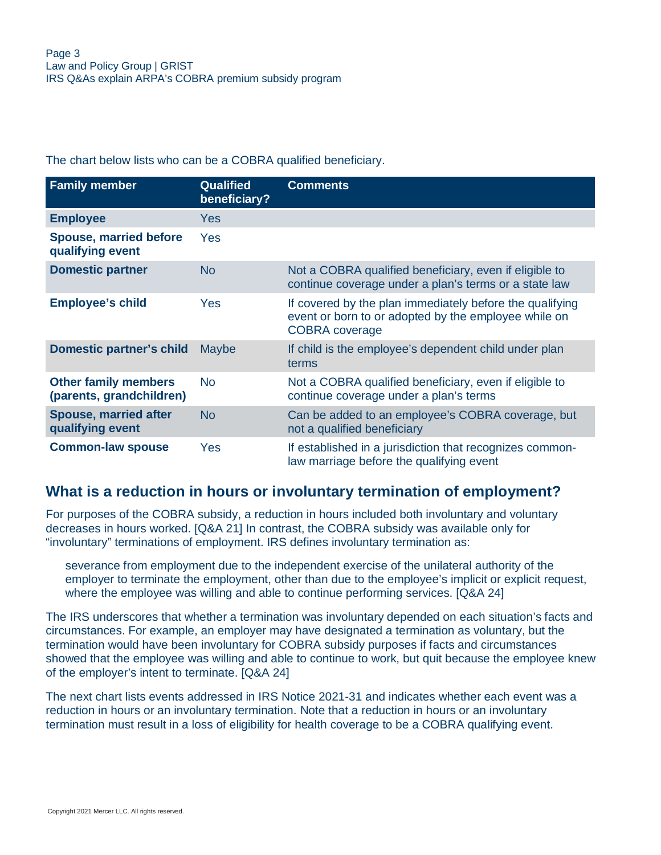The chart below lists who can be a COBRA qualified beneficiary.

| <b>Family member</b>                                    | <b>Qualified</b><br>beneficiary? | <b>Comments</b>                                                                                                                           |
|---------------------------------------------------------|----------------------------------|-------------------------------------------------------------------------------------------------------------------------------------------|
| <b>Employee</b>                                         | Yes                              |                                                                                                                                           |
| <b>Spouse, married before</b><br>qualifying event       | Yes                              |                                                                                                                                           |
| <b>Domestic partner</b>                                 | <b>No</b>                        | Not a COBRA qualified beneficiary, even if eligible to<br>continue coverage under a plan's terms or a state law                           |
| <b>Employee's child</b>                                 | Yes                              | If covered by the plan immediately before the qualifying<br>event or born to or adopted by the employee while on<br><b>COBRA</b> coverage |
| <b>Domestic partner's child</b>                         | Maybe                            | If child is the employee's dependent child under plan<br>terms                                                                            |
| <b>Other family members</b><br>(parents, grandchildren) | <b>No</b>                        | Not a COBRA qualified beneficiary, even if eligible to<br>continue coverage under a plan's terms                                          |
| <b>Spouse, married after</b><br>qualifying event        | <b>No</b>                        | Can be added to an employee's COBRA coverage, but<br>not a qualified beneficiary                                                          |
| <b>Common-law spouse</b>                                | Yes                              | If established in a jurisdiction that recognizes common-<br>law marriage before the qualifying event                                      |

#### **What is a reduction in hours or involuntary termination of employment?**

For purposes of the COBRA subsidy, a reduction in hours included both involuntary and voluntary decreases in hours worked. [Q&A 21] In contrast, the COBRA subsidy was available only for "involuntary" terminations of employment. IRS defines involuntary termination as:

severance from employment due to the independent exercise of the unilateral authority of the employer to terminate the employment, other than due to the employee's implicit or explicit request, where the employee was willing and able to continue performing services. [Q&A 24]

The IRS underscores that whether a termination was involuntary depended on each situation's facts and circumstances. For example, an employer may have designated a termination as voluntary, but the termination would have been involuntary for COBRA subsidy purposes if facts and circumstances showed that the employee was willing and able to continue to work, but quit because the employee knew of the employer's intent to terminate. [Q&A 24]

The next chart lists events addressed in IRS Notice 2021-31 and indicates whether each event was a reduction in hours or an involuntary termination. Note that a reduction in hours or an involuntary termination must result in a loss of eligibility for health coverage to be a COBRA qualifying event.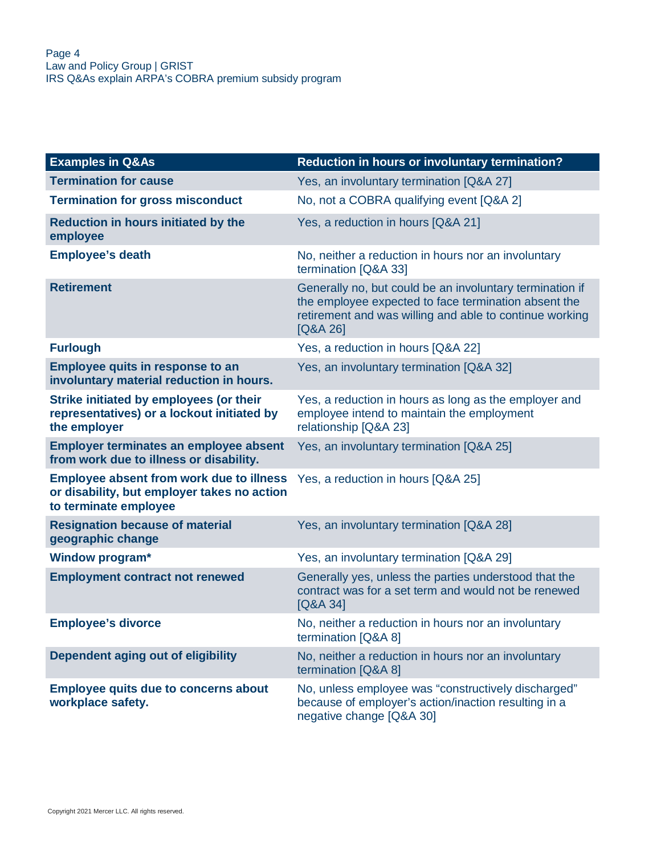| <b>Examples in Q&amp;As</b>                                                                                             | <b>Reduction in hours or involuntary termination?</b>                                                                                                                                   |
|-------------------------------------------------------------------------------------------------------------------------|-----------------------------------------------------------------------------------------------------------------------------------------------------------------------------------------|
| <b>Termination for cause</b>                                                                                            | Yes, an involuntary termination [Q&A 27]                                                                                                                                                |
| <b>Termination for gross misconduct</b>                                                                                 | No, not a COBRA qualifying event [Q&A 2]                                                                                                                                                |
| <b>Reduction in hours initiated by the</b><br>employee                                                                  | Yes, a reduction in hours [Q&A 21]                                                                                                                                                      |
| <b>Employee's death</b>                                                                                                 | No, neither a reduction in hours nor an involuntary<br>termination [Q&A 33]                                                                                                             |
| <b>Retirement</b>                                                                                                       | Generally no, but could be an involuntary termination if<br>the employee expected to face termination absent the<br>retirement and was willing and able to continue working<br>[Q&A 26] |
| <b>Furlough</b>                                                                                                         | Yes, a reduction in hours [Q&A 22]                                                                                                                                                      |
| Employee quits in response to an<br>involuntary material reduction in hours.                                            | Yes, an involuntary termination [Q&A 32]                                                                                                                                                |
| Strike initiated by employees (or their<br>representatives) or a lockout initiated by<br>the employer                   | Yes, a reduction in hours as long as the employer and<br>employee intend to maintain the employment<br>relationship [Q&A 23]                                                            |
| <b>Employer terminates an employee absent</b><br>from work due to illness or disability.                                | Yes, an involuntary termination [Q&A 25]                                                                                                                                                |
| <b>Employee absent from work due to illness</b><br>or disability, but employer takes no action<br>to terminate employee | Yes, a reduction in hours [Q&A 25]                                                                                                                                                      |
| <b>Resignation because of material</b><br>geographic change                                                             | Yes, an involuntary termination [Q&A 28]                                                                                                                                                |
| <b>Window program*</b>                                                                                                  | Yes, an involuntary termination [Q&A 29]                                                                                                                                                |
| <b>Employment contract not renewed</b>                                                                                  | Generally yes, unless the parties understood that the<br>contract was for a set term and would not be renewed<br>[Q&A 34]                                                               |
| <b>Employee's divorce</b>                                                                                               | No, neither a reduction in hours nor an involuntary<br>termination [Q&A 8]                                                                                                              |
| Dependent aging out of eligibility                                                                                      | No, neither a reduction in hours nor an involuntary<br>termination [Q&A 8]                                                                                                              |
| <b>Employee quits due to concerns about</b><br>workplace safety.                                                        | No, unless employee was "constructively discharged"<br>because of employer's action/inaction resulting in a<br>negative change [Q&A 30]                                                 |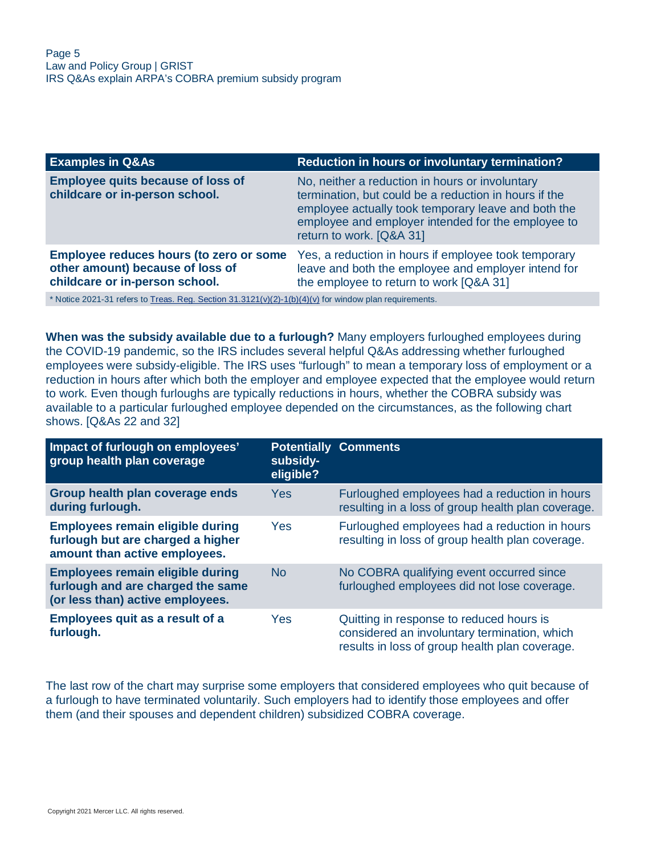| <b>Examples in Q&amp;As</b>                                                                                   | <b>Reduction in hours or involuntary termination?</b>                                                                                                                                                                                             |
|---------------------------------------------------------------------------------------------------------------|---------------------------------------------------------------------------------------------------------------------------------------------------------------------------------------------------------------------------------------------------|
| <b>Employee quits because of loss of</b><br>childcare or in-person school.                                    | No, neither a reduction in hours or involuntary<br>termination, but could be a reduction in hours if the<br>employee actually took temporary leave and both the<br>employee and employer intended for the employee to<br>return to work. [Q&A 31] |
| Employee reduces hours (to zero or some<br>other amount) because of loss of<br>childcare or in-person school. | Yes, a reduction in hours if employee took temporary<br>leave and both the employee and employer intend for<br>the employee to return to work [Q&A 31]                                                                                            |
| * Notice 2021-31 refers to Treas. Reg. Section $31.3121(v)(2)-1(b)(4)(v)$ for window plan requirements.       |                                                                                                                                                                                                                                                   |

**When was the subsidy available due to a furlough?** Many employers furloughed employees during the COVID-19 pandemic, so the IRS includes several helpful Q&As addressing whether furloughed employees were subsidy-eligible. The IRS uses "furlough" to mean a temporary loss of employment or a reduction in hours after which both the employer and employee expected that the employee would return to work. Even though furloughs are typically reductions in hours, whether the COBRA subsidy was available to a particular furloughed employee depended on the circumstances, as the following chart shows. [Q&As 22 and 32]

| Impact of furlough on employees'<br>group health plan coverage                                                   | subsidy-<br>eligible? | <b>Potentially Comments</b>                                                                                                                |
|------------------------------------------------------------------------------------------------------------------|-----------------------|--------------------------------------------------------------------------------------------------------------------------------------------|
| Group health plan coverage ends<br>during furlough.                                                              | <b>Yes</b>            | Furloughed employees had a reduction in hours<br>resulting in a loss of group health plan coverage.                                        |
| <b>Employees remain eligible during</b><br>furlough but are charged a higher<br>amount than active employees.    | Yes                   | Furloughed employees had a reduction in hours<br>resulting in loss of group health plan coverage.                                          |
| <b>Employees remain eligible during</b><br>furlough and are charged the same<br>(or less than) active employees. | <b>No</b>             | No COBRA qualifying event occurred since<br>furloughed employees did not lose coverage.                                                    |
| <b>Employees quit as a result of a</b><br>furlough.                                                              | Yes                   | Quitting in response to reduced hours is<br>considered an involuntary termination, which<br>results in loss of group health plan coverage. |

The last row of the chart may surprise some employers that considered employees who quit because of a furlough to have terminated voluntarily. Such employers had to identify those employees and offer them (and their spouses and dependent children) subsidized COBRA coverage.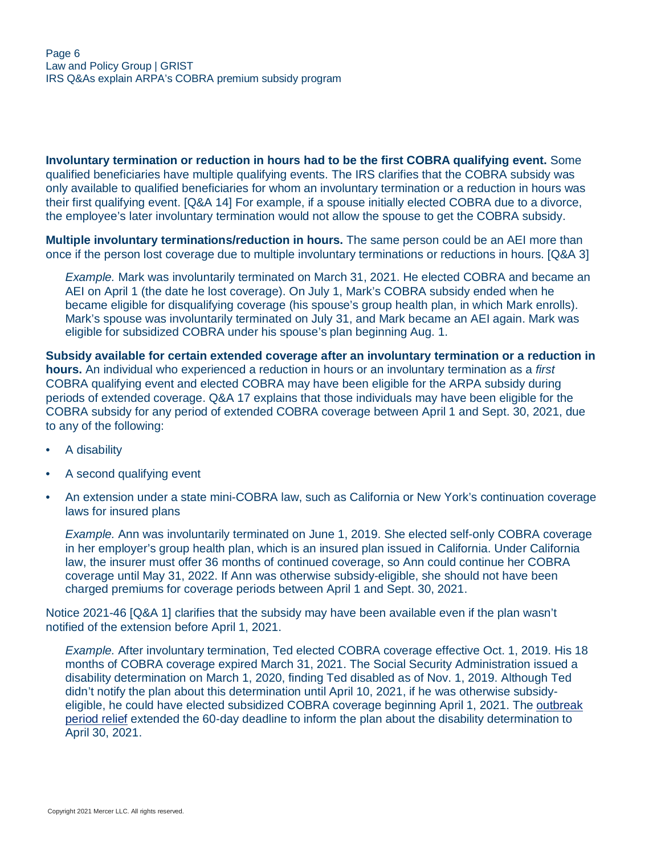**Involuntary termination or reduction in hours had to be the first COBRA qualifying event.** Some qualified beneficiaries have multiple qualifying events. The IRS clarifies that the COBRA subsidy was only available to qualified beneficiaries for whom an involuntary termination or a reduction in hours was their first qualifying event. [Q&A 14] For example, if a spouse initially elected COBRA due to a divorce, the employee's later involuntary termination would not allow the spouse to get the COBRA subsidy.

**Multiple involuntary terminations/reduction in hours.** The same person could be an AEI more than once if the person lost coverage due to multiple involuntary terminations or reductions in hours. [Q&A 3]

*Example.* Mark was involuntarily terminated on March 31, 2021. He elected COBRA and became an AEI on April 1 (the date he lost coverage). On July 1, Mark's COBRA subsidy ended when he became eligible for disqualifying coverage (his spouse's group health plan, in which Mark enrolls). Mark's spouse was involuntarily terminated on July 31, and Mark became an AEI again. Mark was eligible for subsidized COBRA under his spouse's plan beginning Aug. 1.

**Subsidy available for certain extended coverage after an involuntary termination or a reduction in hours.** An individual who experienced a reduction in hours or an involuntary termination as a *first* COBRA qualifying event and elected COBRA may have been eligible for the ARPA subsidy during periods of extended coverage. Q&A 17 explains that those individuals may have been eligible for the COBRA subsidy for any period of extended COBRA coverage between April 1 and Sept. 30, 2021, due to any of the following:

- A disability
- A second qualifying event
- An extension under a state mini-COBRA law, such as California or New York's continuation coverage laws for insured plans

*Example.* Ann was involuntarily terminated on June 1, 2019. She elected self-only COBRA coverage in her employer's group health plan, which is an insured plan issued in California. Under California law, the insurer must offer 36 months of continued coverage, so Ann could continue her COBRA coverage until May 31, 2022. If Ann was otherwise subsidy-eligible, she should not have been charged premiums for coverage periods between April 1 and Sept. 30, 2021.

Notice 2021-46 [Q&A 1] clarifies that the subsidy may have been available even if the plan wasn't notified of the extension before April 1, 2021.

*Example.* After involuntary termination, Ted elected COBRA coverage effective Oct. 1, 2019. His 18 months of COBRA coverage expired March 31, 2021. The Social Security Administration issued a disability determination on March 1, 2020, finding Ted disabled as of Nov. 1, 2019. Although Ted didn't notify the plan about this determination until April 10, 2021, if he was otherwise subsidyeligible, he could have elected subsidized COBRA coverage beginning April 1, 2021. The [outbreak](#page-11-1) [period relief](#page-11-1) extended the 60-day deadline to inform the plan about the disability determination to April 30, 2021.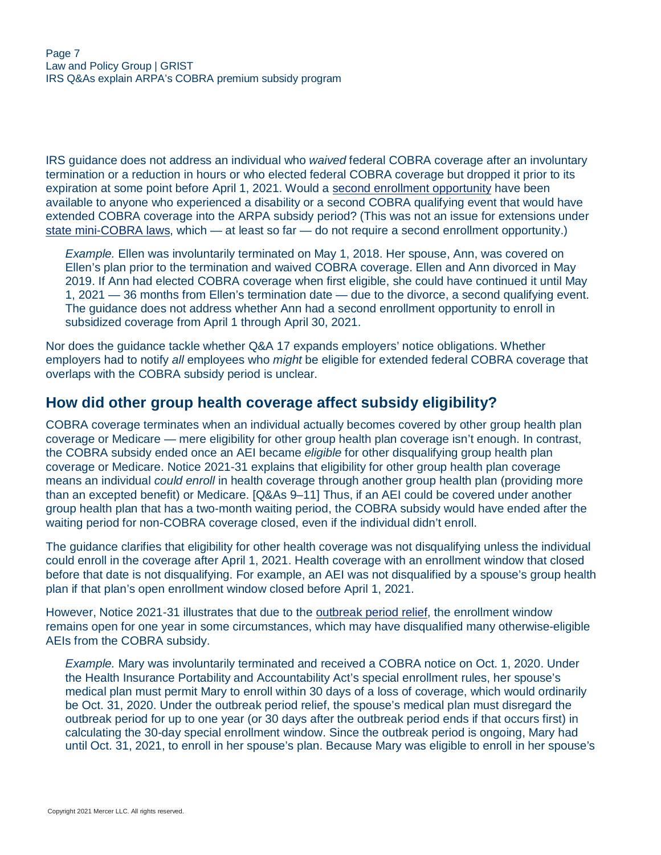IRS guidance does not address an individual who *waived* federal COBRA coverage after an involuntary termination or a reduction in hours or who elected federal COBRA coverage but dropped it prior to its expiration at some point before April 1, 2021. Would a [second enrollment opportunity](#page-9-0) have been available to anyone who experienced a disability or a second COBRA qualifying event that would have extended COBRA coverage into the ARPA subsidy period? (This was not an issue for extensions under [state mini-COBRA laws,](#page-14-0) which — at least so far — do not require a second enrollment opportunity.)

*Example.* Ellen was involuntarily terminated on May 1, 2018. Her spouse, Ann, was covered on Ellen's plan prior to the termination and waived COBRA coverage. Ellen and Ann divorced in May 2019. If Ann had elected COBRA coverage when first eligible, she could have continued it until May 1, 2021 — 36 months from Ellen's termination date — due to the divorce, a second qualifying event. The guidance does not address whether Ann had a second enrollment opportunity to enroll in subsidized coverage from April 1 through April 30, 2021.

Nor does the guidance tackle whether Q&A 17 expands employers' notice obligations. Whether employers had to notify *all* employees who *might* be eligible for extended federal COBRA coverage that overlaps with the COBRA subsidy period is unclear.

#### <span id="page-6-0"></span>**How did other group health coverage affect subsidy eligibility?**

COBRA coverage terminates when an individual actually becomes covered by other group health plan coverage or Medicare — mere eligibility for other group health plan coverage isn't enough. In contrast, the COBRA subsidy ended once an AEI became *eligible* for other disqualifying group health plan coverage or Medicare. Notice 2021-31 explains that eligibility for other group health plan coverage means an individual *could enroll* in health coverage through another group health plan (providing more than an excepted benefit) or Medicare. [Q&As 9–11] Thus, if an AEI could be covered under another group health plan that has a two-month waiting period, the COBRA subsidy would have ended after the waiting period for non-COBRA coverage closed, even if the individual didn't enroll.

The guidance clarifies that eligibility for other health coverage was not disqualifying unless the individual could enroll in the coverage after April 1, 2021. Health coverage with an enrollment window that closed before that date is not disqualifying. For example, an AEI was not disqualified by a spouse's group health plan if that plan's open enrollment window closed before April 1, 2021.

However, Notice 2021-31 illustrates that due to the [outbreak period relief](#page-11-1), the enrollment window remains open for one year in some circumstances, which may have disqualified many otherwise-eligible AEIs from the COBRA subsidy.

*Example.* Mary was involuntarily terminated and received a COBRA notice on Oct. 1, 2020. Under the Health Insurance Portability and Accountability Act's special enrollment rules, her spouse's medical plan must permit Mary to enroll within 30 days of a loss of coverage, which would ordinarily be Oct. 31, 2020. Under the outbreak period relief, the spouse's medical plan must disregard the outbreak period for up to one year (or 30 days after the outbreak period ends if that occurs first) in calculating the 30-day special enrollment window. Since the outbreak period is ongoing, Mary had until Oct. 31, 2021, to enroll in her spouse's plan. Because Mary was eligible to enroll in her spouse's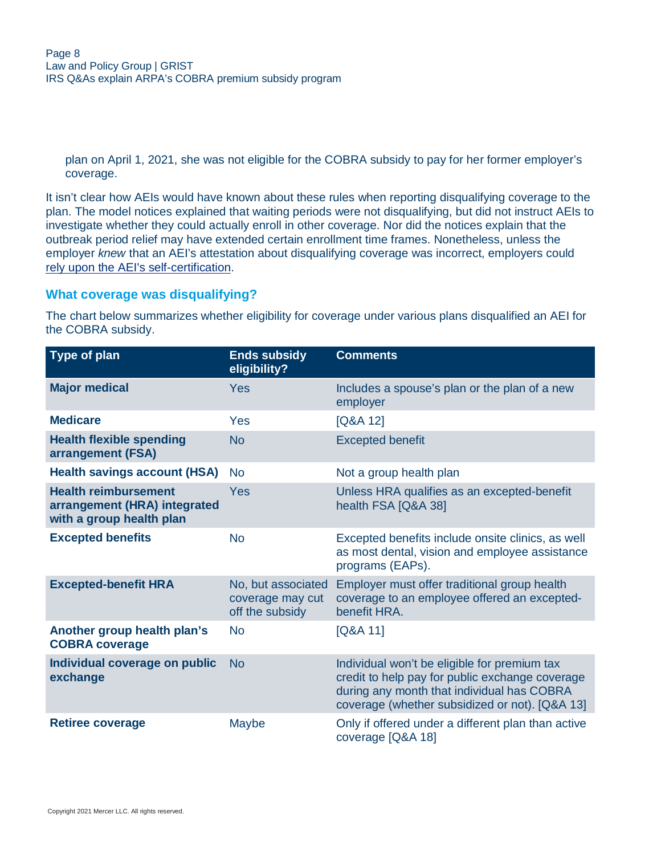plan on April 1, 2021, she was not eligible for the COBRA subsidy to pay for her former employer's coverage.

It isn't clear how AEIs would have known about these rules when reporting disqualifying coverage to the plan. The model notices explained that waiting periods were not disqualifying, but did not instruct AEIs to investigate whether they could actually enroll in other coverage. Nor did the notices explain that the outbreak period relief may have extended certain enrollment time frames. Nonetheless, unless the employer *knew* that an AEI's attestation about disqualifying coverage was incorrect, employers could [rely upon the AEI's self-certification](#page-18-0).

#### **What coverage was disqualifying?**

The chart below summarizes whether eligibility for coverage under various plans disqualified an AEI for the COBRA subsidy.

| <b>Type of plan</b>                                                                     | <b>Ends subsidy</b><br>eligibility?                       | <b>Comments</b>                                                                                                                                                                                 |
|-----------------------------------------------------------------------------------------|-----------------------------------------------------------|-------------------------------------------------------------------------------------------------------------------------------------------------------------------------------------------------|
| <b>Major medical</b>                                                                    | <b>Yes</b>                                                | Includes a spouse's plan or the plan of a new<br>employer                                                                                                                                       |
| <b>Medicare</b>                                                                         | Yes                                                       | [Q&A 12]                                                                                                                                                                                        |
| <b>Health flexible spending</b><br>arrangement (FSA)                                    | <b>No</b>                                                 | <b>Excepted benefit</b>                                                                                                                                                                         |
| <b>Health savings account (HSA)</b>                                                     | <b>No</b>                                                 | Not a group health plan                                                                                                                                                                         |
| <b>Health reimbursement</b><br>arrangement (HRA) integrated<br>with a group health plan | Yes                                                       | Unless HRA qualifies as an excepted-benefit<br>health FSA [Q&A 38]                                                                                                                              |
| <b>Excepted benefits</b>                                                                | <b>No</b>                                                 | Excepted benefits include onsite clinics, as well<br>as most dental, vision and employee assistance<br>programs (EAPs).                                                                         |
| <b>Excepted-benefit HRA</b>                                                             | No, but associated<br>coverage may cut<br>off the subsidy | Employer must offer traditional group health<br>coverage to an employee offered an excepted-<br>benefit HRA.                                                                                    |
| Another group health plan's<br><b>COBRA coverage</b>                                    | <b>No</b>                                                 | $[Q&A$ 11]                                                                                                                                                                                      |
| Individual coverage on public<br>exchange                                               | <b>No</b>                                                 | Individual won't be eligible for premium tax<br>credit to help pay for public exchange coverage<br>during any month that individual has COBRA<br>coverage (whether subsidized or not). [Q&A 13] |
| <b>Retiree coverage</b>                                                                 | Maybe                                                     | Only if offered under a different plan than active<br>coverage [Q&A 18]                                                                                                                         |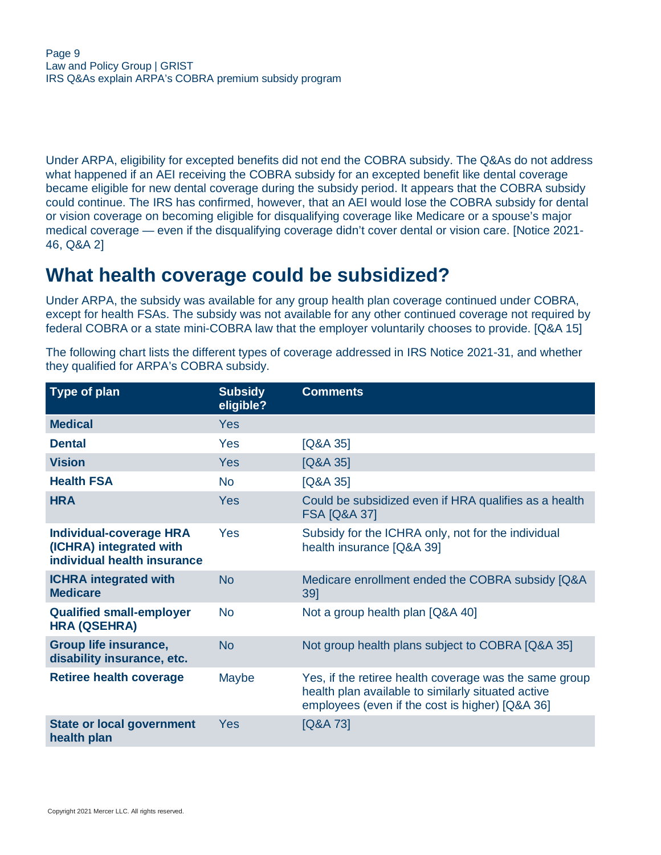Under ARPA, eligibility for excepted benefits did not end the COBRA subsidy. The Q&As do not address what happened if an AEI receiving the COBRA subsidy for an excepted benefit like dental coverage became eligible for new dental coverage during the subsidy period. It appears that the COBRA subsidy could continue. The IRS has confirmed, however, that an AEI would lose the COBRA subsidy for dental or vision coverage on becoming eligible for disqualifying coverage like Medicare or a spouse's major medical coverage — even if the disqualifying coverage didn't cover dental or vision care. [Notice 2021- 46, Q&A 2]

### <span id="page-8-0"></span>**What health coverage could be subsidized?**

Under ARPA, the subsidy was available for any group health plan coverage continued under COBRA, except for health FSAs. The subsidy was not available for any other continued coverage not required by federal COBRA or a state mini-COBRA law that the employer voluntarily chooses to provide. [Q&A 15]

The following chart lists the different types of coverage addressed in IRS Notice 2021-31, and whether they qualified for ARPA's COBRA subsidy.

| <b>Type of plan</b>                                                                      | <b>Subsidy</b><br>eligible? | <b>Comments</b>                                                                                                                                                 |
|------------------------------------------------------------------------------------------|-----------------------------|-----------------------------------------------------------------------------------------------------------------------------------------------------------------|
| <b>Medical</b>                                                                           | <b>Yes</b>                  |                                                                                                                                                                 |
| <b>Dental</b>                                                                            | Yes                         | [Q&A 35]                                                                                                                                                        |
| <b>Vision</b>                                                                            | <b>Yes</b>                  | $[Q&A$ 35]                                                                                                                                                      |
| <b>Health FSA</b>                                                                        | <b>No</b>                   | $[Q&A$ 35]                                                                                                                                                      |
| <b>HRA</b>                                                                               | Yes                         | Could be subsidized even if HRA qualifies as a health<br><b>FSA [Q&amp;A 37]</b>                                                                                |
| <b>Individual-coverage HRA</b><br>(ICHRA) integrated with<br>individual health insurance | Yes                         | Subsidy for the ICHRA only, not for the individual<br>health insurance [Q&A 39]                                                                                 |
| <b>ICHRA</b> integrated with<br><b>Medicare</b>                                          | <b>No</b>                   | Medicare enrollment ended the COBRA subsidy [Q&A<br>39]                                                                                                         |
| <b>Qualified small-employer</b><br><b>HRA (QSEHRA)</b>                                   | <b>No</b>                   | Not a group health plan [Q&A 40]                                                                                                                                |
| <b>Group life insurance,</b><br>disability insurance, etc.                               | <b>No</b>                   | Not group health plans subject to COBRA [Q&A 35]                                                                                                                |
| <b>Retiree health coverage</b>                                                           | Maybe                       | Yes, if the retiree health coverage was the same group<br>health plan available to similarly situated active<br>employees (even if the cost is higher) [Q&A 36] |
| <b>State or local government</b><br>health plan                                          | <b>Yes</b>                  | [Q&A 73]                                                                                                                                                        |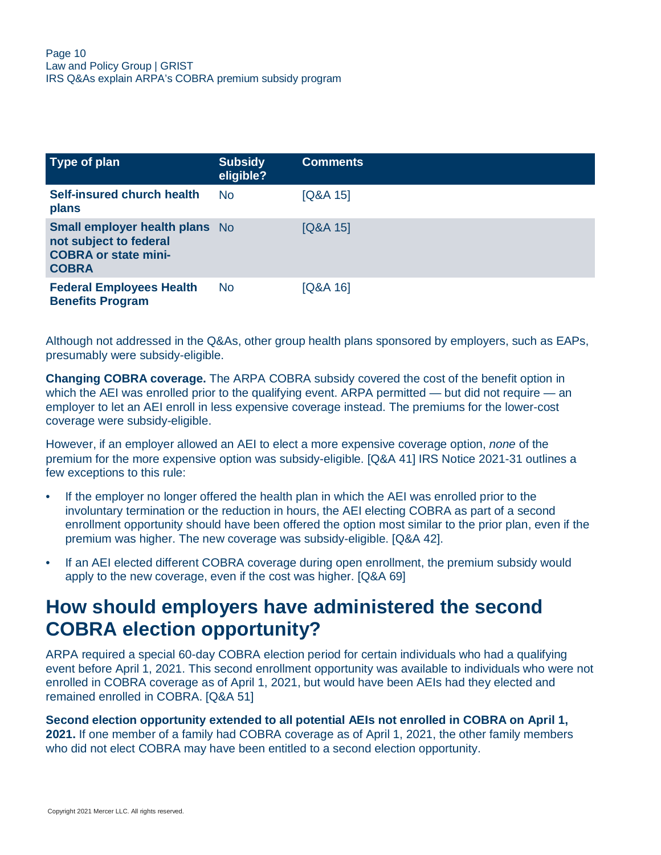| Type of plan                                                                                                   | <b>Subsidy</b><br>eligible? | <b>Comments</b> |
|----------------------------------------------------------------------------------------------------------------|-----------------------------|-----------------|
| <b>Self-insured church health</b><br>plans                                                                     | <b>No</b>                   | $[Q&A$ 15]      |
| <b>Small employer health plans</b> No<br>not subject to federal<br><b>COBRA or state mini-</b><br><b>COBRA</b> |                             | $[Q&A$ 15]      |
| <b>Federal Employees Health</b><br><b>Benefits Program</b>                                                     | <b>No</b>                   | $[Q&A$ 16]      |

Although not addressed in the Q&As, other group health plans sponsored by employers, such as EAPs, presumably were subsidy-eligible.

**Changing COBRA coverage.** The ARPA COBRA subsidy covered the cost of the benefit option in which the AEI was enrolled prior to the qualifying event. ARPA permitted — but did not require — an employer to let an AEI enroll in less expensive coverage instead. The premiums for the lower-cost coverage were subsidy-eligible.

However, if an employer allowed an AEI to elect a more expensive coverage option, *none* of the premium for the more expensive option was subsidy-eligible. [Q&A 41] IRS Notice 2021-31 outlines a few exceptions to this rule:

- If the employer no longer offered the health plan in which the AEI was enrolled prior to the involuntary termination or the reduction in hours, the AEI electing COBRA as part of a second enrollment opportunity should have been offered the option most similar to the prior plan, even if the premium was higher. The new coverage was subsidy-eligible. [Q&A 42].
- If an AEI elected different COBRA coverage during open enrollment, the premium subsidy would apply to the new coverage, even if the cost was higher. [Q&A 69]

## <span id="page-9-0"></span>**How should employers have administered the second COBRA election opportunity?**

ARPA required a special 60-day COBRA election period for certain individuals who had a qualifying event before April 1, 2021. This second enrollment opportunity was available to individuals who were not enrolled in COBRA coverage as of April 1, 2021, but would have been AEIs had they elected and remained enrolled in COBRA. [Q&A 51]

**Second election opportunity extended to all potential AEIs not enrolled in COBRA on April 1, 2021.** If one member of a family had COBRA coverage as of April 1, 2021, the other family members who did not elect COBRA may have been entitled to a second election opportunity.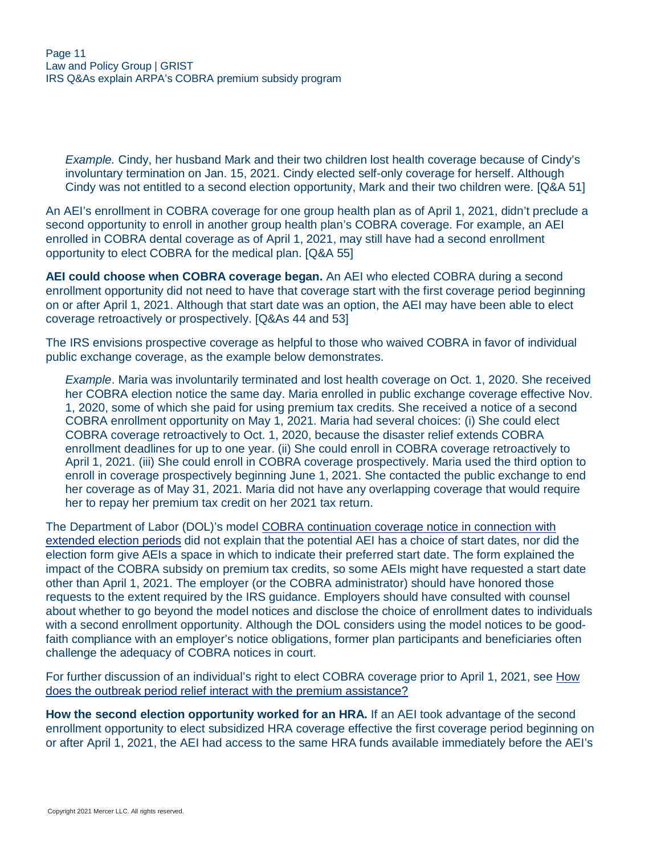*Example.* Cindy, her husband Mark and their two children lost health coverage because of Cindy's involuntary termination on Jan. 15, 2021. Cindy elected self-only coverage for herself. Although Cindy was not entitled to a second election opportunity, Mark and their two children were. [Q&A 51]

An AEI's enrollment in COBRA coverage for one group health plan as of April 1, 2021, didn't preclude a second opportunity to enroll in another group health plan's COBRA coverage. For example, an AEI enrolled in COBRA dental coverage as of April 1, 2021, may still have had a second enrollment opportunity to elect COBRA for the medical plan. [Q&A 55]

**AEI could choose when COBRA coverage began.** An AEI who elected COBRA during a second enrollment opportunity did not need to have that coverage start with the first coverage period beginning on or after April 1, 2021. Although that start date was an option, the AEI may have been able to elect coverage retroactively or prospectively. [Q&As 44 and 53]

The IRS envisions prospective coverage as helpful to those who waived COBRA in favor of individual public exchange coverage, as the example below demonstrates.

*Example*. Maria was involuntarily terminated and lost health coverage on Oct. 1, 2020. She received her COBRA election notice the same day. Maria enrolled in public exchange coverage effective Nov. 1, 2020, some of which she paid for using premium tax credits. She received a notice of a second COBRA enrollment opportunity on May 1, 2021. Maria had several choices: (i) She could elect COBRA coverage retroactively to Oct. 1, 2020, because the disaster relief extends COBRA enrollment deadlines for up to one year. (ii) She could enroll in COBRA coverage retroactively to April 1, 2021. (iii) She could enroll in COBRA coverage prospectively. Maria used the third option to enroll in coverage prospectively beginning June 1, 2021. She contacted the public exchange to end her coverage as of May 31, 2021. Maria did not have any overlapping coverage that would require her to repay her premium tax credit on her 2021 tax return.

The Department of Labor (DOL)'s model [COBRA continuation coverage notice in connection with](https://www.dol.gov/sites/dolgov/files/ebsa/laws-and-regulations/laws/cobra/premium-subsidy/model-extended-election-periods-notice.docx) [extended election periods](https://www.dol.gov/sites/dolgov/files/ebsa/laws-and-regulations/laws/cobra/premium-subsidy/model-extended-election-periods-notice.docx) did not explain that the potential AEI has a choice of start dates, nor did the election form give AEIs a space in which to indicate their preferred start date. The form explained the impact of the COBRA subsidy on premium tax credits, so some AEIs might have requested a start date other than April 1, 2021. The employer (or the COBRA administrator) should have honored those requests to the extent required by the IRS guidance. Employers should have consulted with counsel about whether to go beyond the model notices and disclose the choice of enrollment dates to individuals with a second enrollment opportunity. Although the DOL considers using the model notices to be goodfaith compliance with an employer's notice obligations, former plan participants and beneficiaries often challenge the adequacy of COBRA notices in court.

For further discussion of an individual's right to elect COBRA coverage prior to April 1, 2021, see [How](#page-11-1) [does the outbreak period relief interact with the premium assistance?](#page-11-1)

**How the second election opportunity worked for an HRA.** If an AEI took advantage of the second enrollment opportunity to elect subsidized HRA coverage effective the first coverage period beginning on or after April 1, 2021, the AEI had access to the same HRA funds available immediately before the AEI's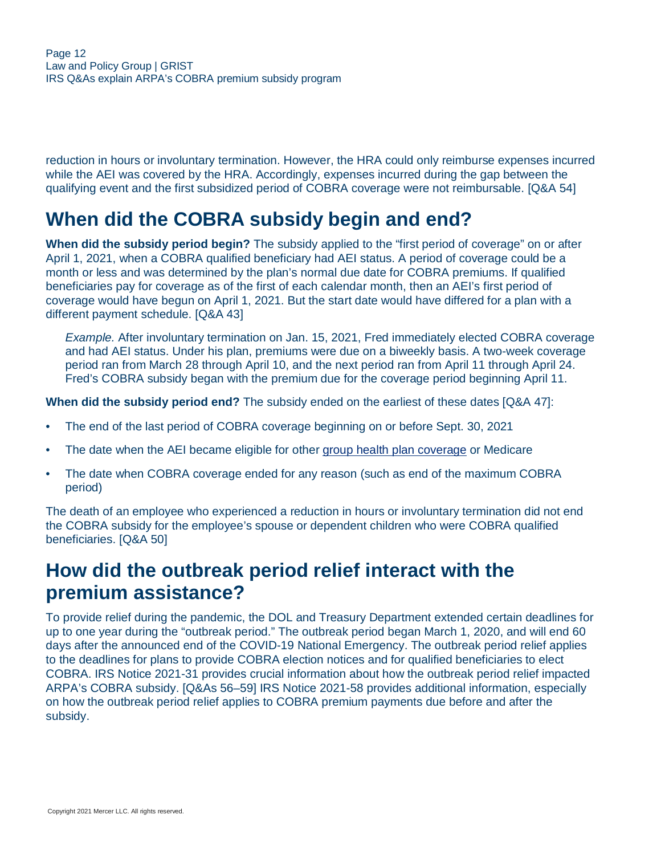reduction in hours or involuntary termination. However, the HRA could only reimburse expenses incurred while the AEI was covered by the HRA. Accordingly, expenses incurred during the gap between the qualifying event and the first subsidized period of COBRA coverage were not reimbursable. [Q&A 54]

# <span id="page-11-0"></span>**When did the COBRA subsidy begin and end?**

**When did the subsidy period begin?** The subsidy applied to the "first period of coverage" on or after April 1, 2021, when a COBRA qualified beneficiary had AEI status. A period of coverage could be a month or less and was determined by the plan's normal due date for COBRA premiums. If qualified beneficiaries pay for coverage as of the first of each calendar month, then an AEI's first period of coverage would have begun on April 1, 2021. But the start date would have differed for a plan with a different payment schedule. [Q&A 43]

*Example.* After involuntary termination on Jan. 15, 2021, Fred immediately elected COBRA coverage and had AEI status. Under his plan, premiums were due on a biweekly basis. A two-week coverage period ran from March 28 through April 10, and the next period ran from April 11 through April 24. Fred's COBRA subsidy began with the premium due for the coverage period beginning April 11.

**When did the subsidy period end?** The subsidy ended on the earliest of these dates [Q&A 47]:

- The end of the last period of COBRA coverage beginning on or before Sept. 30, 2021
- The date when the AEI became eligible for other [group health plan coverage](#page-6-0) or Medicare
- The date when COBRA coverage ended for any reason (such as end of the maximum COBRA period)

The death of an employee who experienced a reduction in hours or involuntary termination did not end the COBRA subsidy for the employee's spouse or dependent children who were COBRA qualified beneficiaries. [Q&A 50]

### <span id="page-11-1"></span>**How did the outbreak period relief interact with the premium assistance?**

To provide relief during the pandemic, the DOL and Treasury Department extended certain deadlines for up to one year during the "outbreak period." The outbreak period began March 1, 2020, and will end 60 days after the announced end of the COVID-19 National Emergency. The outbreak period relief applies to the deadlines for plans to provide COBRA election notices and for qualified beneficiaries to elect COBRA. IRS Notice 2021-31 provides crucial information about how the outbreak period relief impacted ARPA's COBRA subsidy. [Q&As 56–59] IRS Notice 2021-58 provides additional information, especially on how the outbreak period relief applies to COBRA premium payments due before and after the subsidy.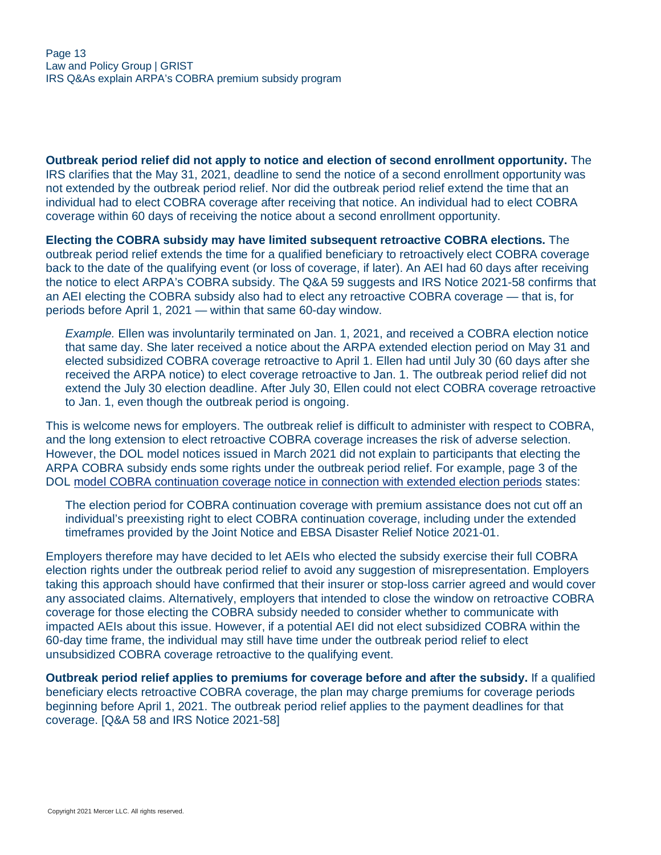**Outbreak period relief did not apply to notice and election of second enrollment opportunity.** The IRS clarifies that the May 31, 2021, deadline to send the notice of a second enrollment opportunity was not extended by the outbreak period relief. Nor did the outbreak period relief extend the time that an individual had to elect COBRA coverage after receiving that notice. An individual had to elect COBRA coverage within 60 days of receiving the notice about a second enrollment opportunity.

**Electing the COBRA subsidy may have limited subsequent retroactive COBRA elections.** The outbreak period relief extends the time for a qualified beneficiary to retroactively elect COBRA coverage back to the date of the qualifying event (or loss of coverage, if later). An AEI had 60 days after receiving the notice to elect ARPA's COBRA subsidy. The Q&A 59 suggests and IRS Notice 2021-58 confirms that an AEI electing the COBRA subsidy also had to elect any retroactive COBRA coverage — that is, for periods before April 1, 2021 — within that same 60-day window.

*Example.* Ellen was involuntarily terminated on Jan. 1, 2021, and received a COBRA election notice that same day. She later received a notice about the ARPA extended election period on May 31 and elected subsidized COBRA coverage retroactive to April 1. Ellen had until July 30 (60 days after she received the ARPA notice) to elect coverage retroactive to Jan. 1. The outbreak period relief did not extend the July 30 election deadline. After July 30, Ellen could not elect COBRA coverage retroactive to Jan. 1, even though the outbreak period is ongoing.

This is welcome news for employers. The outbreak relief is difficult to administer with respect to COBRA, and the long extension to elect retroactive COBRA coverage increases the risk of adverse selection. However, the DOL model notices issued in March 2021 did not explain to participants that electing the ARPA COBRA subsidy ends some rights under the outbreak period relief. For example, page 3 of the DOL [model COBRA continuation coverage notice in connection with extended election periods](https://www.dol.gov/sites/dolgov/files/ebsa/laws-and-regulations/laws/cobra/premium-subsidy/model-extended-election-periods-notice.docx) states:

The election period for COBRA continuation coverage with premium assistance does not cut off an individual's preexisting right to elect COBRA continuation coverage, including under the extended timeframes provided by the Joint Notice and EBSA Disaster Relief Notice 2021-01.

Employers therefore may have decided to let AEIs who elected the subsidy exercise their full COBRA election rights under the outbreak period relief to avoid any suggestion of misrepresentation. Employers taking this approach should have confirmed that their insurer or stop-loss carrier agreed and would cover any associated claims. Alternatively, employers that intended to close the window on retroactive COBRA coverage for those electing the COBRA subsidy needed to consider whether to communicate with impacted AEIs about this issue. However, if a potential AEI did not elect subsidized COBRA within the 60-day time frame, the individual may still have time under the outbreak period relief to elect unsubsidized COBRA coverage retroactive to the qualifying event.

**Outbreak period relief applies to premiums for coverage before and after the subsidy.** If a qualified beneficiary elects retroactive COBRA coverage, the plan may charge premiums for coverage periods beginning before April 1, 2021. The outbreak period relief applies to the payment deadlines for that coverage. [Q&A 58 and IRS Notice 2021-58]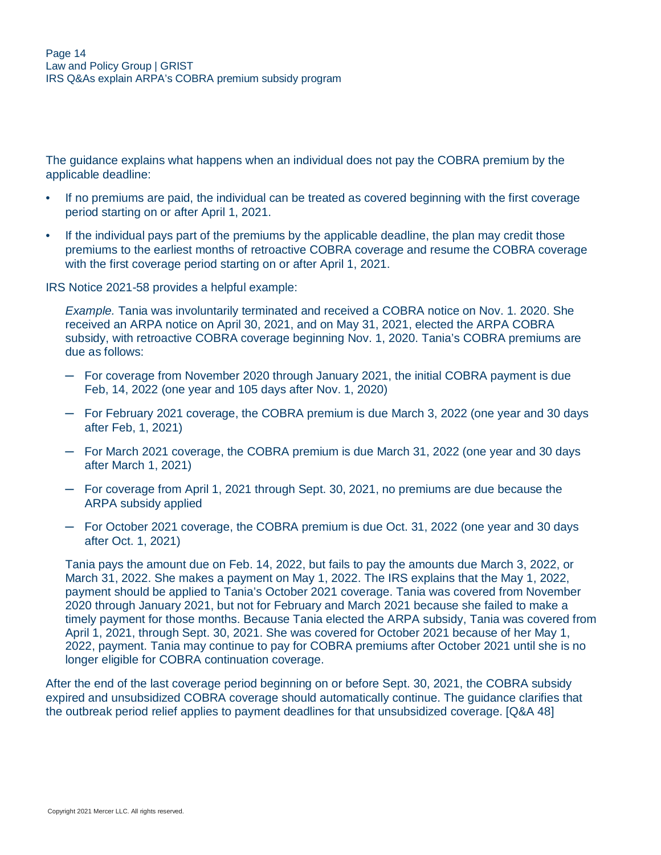The guidance explains what happens when an individual does not pay the COBRA premium by the applicable deadline:

- If no premiums are paid, the individual can be treated as covered beginning with the first coverage period starting on or after April 1, 2021.
- If the individual pays part of the premiums by the applicable deadline, the plan may credit those premiums to the earliest months of retroactive COBRA coverage and resume the COBRA coverage with the first coverage period starting on or after April 1, 2021.

IRS Notice 2021-58 provides a helpful example:

*Example.* Tania was involuntarily terminated and received a COBRA notice on Nov. 1. 2020. She received an ARPA notice on April 30, 2021, and on May 31, 2021, elected the ARPA COBRA subsidy, with retroactive COBRA coverage beginning Nov. 1, 2020. Tania's COBRA premiums are due as follows:

- ─ For coverage from November 2020 through January 2021, the initial COBRA payment is due Feb, 14, 2022 (one year and 105 days after Nov. 1, 2020)
- ─ For February 2021 coverage, the COBRA premium is due March 3, 2022 (one year and 30 days after Feb, 1, 2021)
- ─ For March 2021 coverage, the COBRA premium is due March 31, 2022 (one year and 30 days after March 1, 2021)
- ─ For coverage from April 1, 2021 through Sept. 30, 2021, no premiums are due because the ARPA subsidy applied
- ─ For October 2021 coverage, the COBRA premium is due Oct. 31, 2022 (one year and 30 days after Oct. 1, 2021)

Tania pays the amount due on Feb. 14, 2022, but fails to pay the amounts due March 3, 2022, or March 31, 2022. She makes a payment on May 1, 2022. The IRS explains that the May 1, 2022, payment should be applied to Tania's October 2021 coverage. Tania was covered from November 2020 through January 2021, but not for February and March 2021 because she failed to make a timely payment for those months. Because Tania elected the ARPA subsidy, Tania was covered from April 1, 2021, through Sept. 30, 2021. She was covered for October 2021 because of her May 1, 2022, payment. Tania may continue to pay for COBRA premiums after October 2021 until she is no longer eligible for COBRA continuation coverage.

After the end of the last coverage period beginning on or before Sept. 30, 2021, the COBRA subsidy expired and unsubsidized COBRA coverage should automatically continue. The guidance clarifies that the outbreak period relief applies to payment deadlines for that unsubsidized coverage. [Q&A 48]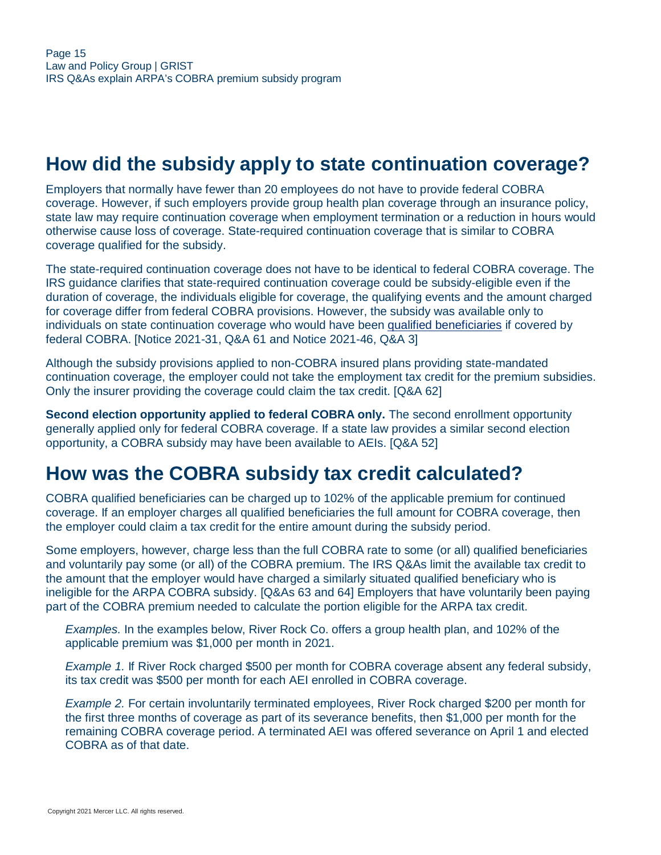# <span id="page-14-0"></span>**How did the subsidy apply to state continuation coverage?**

Employers that normally have fewer than 20 employees do not have to provide federal COBRA coverage. However, if such employers provide group health plan coverage through an insurance policy, state law may require continuation coverage when employment termination or a reduction in hours would otherwise cause loss of coverage. State-required continuation coverage that is similar to COBRA coverage qualified for the subsidy.

The state-required continuation coverage does not have to be identical to federal COBRA coverage. The IRS guidance clarifies that state-required continuation coverage could be subsidy-eligible even if the duration of coverage, the individuals eligible for coverage, the qualifying events and the amount charged for coverage differ from federal COBRA provisions. However, the subsidy was available only to individuals on state continuation coverage who would have been [qualified beneficiaries](#page-1-1) if covered by federal COBRA. [Notice 2021-31, Q&A 61 and Notice 2021-46, Q&A 3]

Although the subsidy provisions applied to non-COBRA insured plans providing state-mandated continuation coverage, the employer could not take the employment tax credit for the premium subsidies. Only the insurer providing the coverage could claim the tax credit. [Q&A 62]

**Second election opportunity applied to federal COBRA only.** The second enrollment opportunity generally applied only for federal COBRA coverage. If a state law provides a similar second election opportunity, a COBRA subsidy may have been available to AEIs. [Q&A 52]

## <span id="page-14-1"></span>**How was the COBRA subsidy tax credit calculated?**

COBRA qualified beneficiaries can be charged up to 102% of the applicable premium for continued coverage. If an employer charges all qualified beneficiaries the full amount for COBRA coverage, then the employer could claim a tax credit for the entire amount during the subsidy period.

Some employers, however, charge less than the full COBRA rate to some (or all) qualified beneficiaries and voluntarily pay some (or all) of the COBRA premium. The IRS Q&As limit the available tax credit to the amount that the employer would have charged a similarly situated qualified beneficiary who is ineligible for the ARPA COBRA subsidy. [Q&As 63 and 64] Employers that have voluntarily been paying part of the COBRA premium needed to calculate the portion eligible for the ARPA tax credit.

*Examples.* In the examples below, River Rock Co. offers a group health plan, and 102% of the applicable premium was \$1,000 per month in 2021.

*Example 1.* If River Rock charged \$500 per month for COBRA coverage absent any federal subsidy, its tax credit was \$500 per month for each AEI enrolled in COBRA coverage.

*Example 2.* For certain involuntarily terminated employees, River Rock charged \$200 per month for the first three months of coverage as part of its severance benefits, then \$1,000 per month for the remaining COBRA coverage period. A terminated AEI was offered severance on April 1 and elected COBRA as of that date.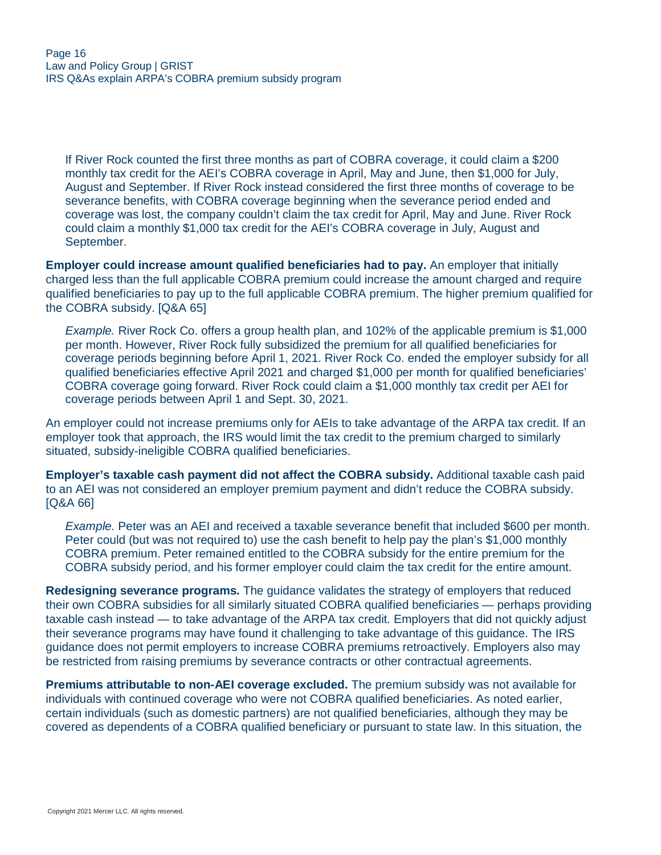If River Rock counted the first three months as part of COBRA coverage, it could claim a \$200 monthly tax credit for the AEI's COBRA coverage in April, May and June, then \$1,000 for July, August and September. If River Rock instead considered the first three months of coverage to be severance benefits, with COBRA coverage beginning when the severance period ended and coverage was lost, the company couldn't claim the tax credit for April, May and June. River Rock could claim a monthly \$1,000 tax credit for the AEI's COBRA coverage in July, August and September.

**Employer could increase amount qualified beneficiaries had to pay.** An employer that initially charged less than the full applicable COBRA premium could increase the amount charged and require qualified beneficiaries to pay up to the full applicable COBRA premium. The higher premium qualified for the COBRA subsidy. [Q&A 65]

*Example.* River Rock Co. offers a group health plan, and 102% of the applicable premium is \$1,000 per month. However, River Rock fully subsidized the premium for all qualified beneficiaries for coverage periods beginning before April 1, 2021. River Rock Co. ended the employer subsidy for all qualified beneficiaries effective April 2021 and charged \$1,000 per month for qualified beneficiaries' COBRA coverage going forward. River Rock could claim a \$1,000 monthly tax credit per AEI for coverage periods between April 1 and Sept. 30, 2021.

An employer could not increase premiums only for AEIs to take advantage of the ARPA tax credit. If an employer took that approach, the IRS would limit the tax credit to the premium charged to similarly situated, subsidy-ineligible COBRA qualified beneficiaries.

**Employer's taxable cash payment did not affect the COBRA subsidy.** Additional taxable cash paid to an AEI was not considered an employer premium payment and didn't reduce the COBRA subsidy. [Q&A 66]

*Example.* Peter was an AEI and received a taxable severance benefit that included \$600 per month. Peter could (but was not required to) use the cash benefit to help pay the plan's \$1,000 monthly COBRA premium. Peter remained entitled to the COBRA subsidy for the entire premium for the COBRA subsidy period, and his former employer could claim the tax credit for the entire amount.

**Redesigning severance programs.** The guidance validates the strategy of employers that reduced their own COBRA subsidies for all similarly situated COBRA qualified beneficiaries — perhaps providing taxable cash instead — to take advantage of the ARPA tax credit. Employers that did not quickly adjust their severance programs may have found it challenging to take advantage of this guidance. The IRS guidance does not permit employers to increase COBRA premiums retroactively. Employers also may be restricted from raising premiums by severance contracts or other contractual agreements.

**Premiums attributable to non-AEI coverage excluded.** The premium subsidy was not available for individuals with continued coverage who were not COBRA qualified beneficiaries. As noted earlier, certain individuals (such as domestic partners) are not qualified beneficiaries, although they may be covered as dependents of a COBRA qualified beneficiary or pursuant to state law. In this situation, the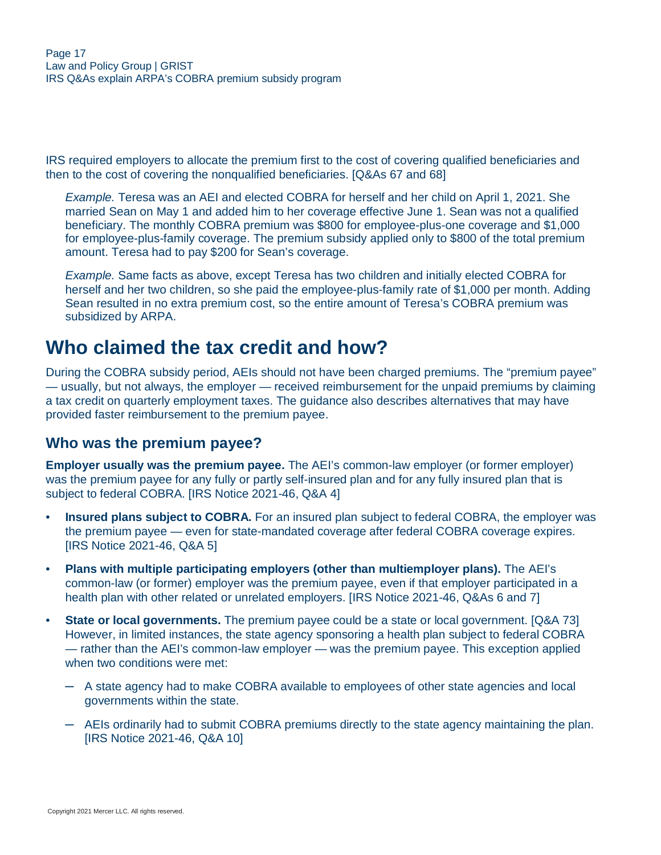IRS required employers to allocate the premium first to the cost of covering qualified beneficiaries and then to the cost of covering the nonqualified beneficiaries. [Q&As 67 and 68]

*Example.* Teresa was an AEI and elected COBRA for herself and her child on April 1, 2021. She married Sean on May 1 and added him to her coverage effective June 1. Sean was not a qualified beneficiary. The monthly COBRA premium was \$800 for employee-plus-one coverage and \$1,000 for employee-plus-family coverage. The premium subsidy applied only to \$800 of the total premium amount. Teresa had to pay \$200 for Sean's coverage.

*Example.* Same facts as above, except Teresa has two children and initially elected COBRA for herself and her two children, so she paid the employee-plus-family rate of \$1,000 per month. Adding Sean resulted in no extra premium cost, so the entire amount of Teresa's COBRA premium was subsidized by ARPA.

### <span id="page-16-0"></span>**Who claimed the tax credit and how?**

During the COBRA subsidy period, AEIs should not have been charged premiums. The "premium payee" — usually, but not always, the employer — received reimbursement for the unpaid premiums by claiming a tax credit on quarterly employment taxes. The guidance also describes alternatives that may have provided faster reimbursement to the premium payee.

#### **Who was the premium payee?**

**Employer usually was the premium payee.** The AEI's common-law employer (or former employer) was the premium payee for any fully or partly self-insured plan and for any fully insured plan that is subject to federal COBRA. [IRS Notice 2021-46, Q&A 4]

- **Insured plans subject to COBRA.** For an insured plan subject to federal COBRA, the employer was the premium payee — even for state-mandated coverage after federal COBRA coverage expires. [IRS Notice 2021-46, Q&A 5]
- **Plans with multiple participating employers (other than multiemployer plans).** The AEI's common-law (or former) employer was the premium payee, even if that employer participated in a health plan with other related or unrelated employers. [IRS Notice 2021-46, Q&As 6 and 7]
- **State or local governments.** The premium payee could be a state or local government. [Q&A 73] However, in limited instances, the state agency sponsoring a health plan subject to federal COBRA — rather than the AEI's common-law employer — was the premium payee. This exception applied when two conditions were met:
	- ─ A state agency had to make COBRA available to employees of other state agencies and local governments within the state.
	- $-$  AEIs ordinarily had to submit COBRA premiums directly to the state agency maintaining the plan. [IRS Notice 2021-46, Q&A 10]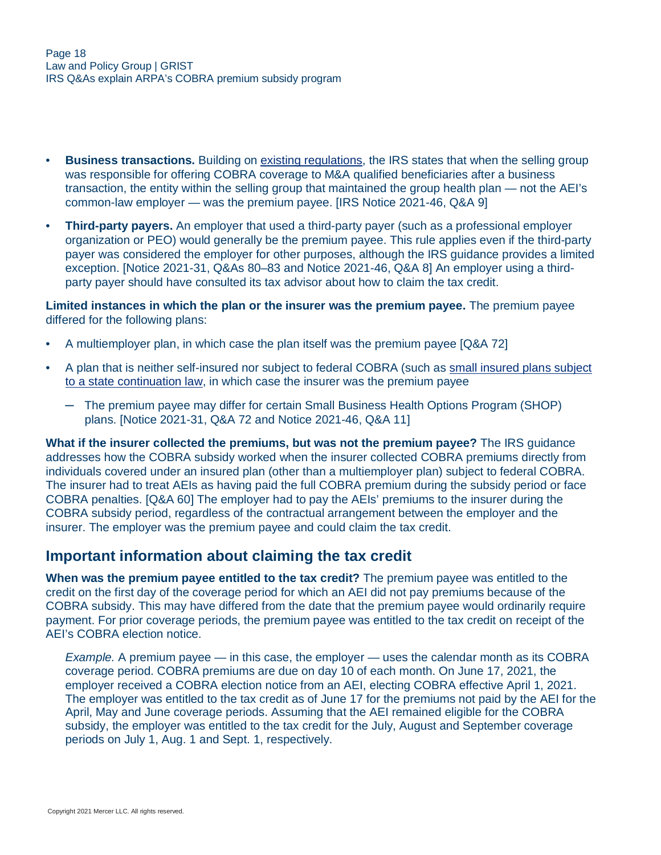- **Business transactions.** Building on [existing regulations,](https://ecfr.federalregister.gov/current/title-26/chapter-I/subchapter-D/part-54/section-54.4980B-9) the IRS states that when the selling group was responsible for offering COBRA coverage to M&A qualified beneficiaries after a business transaction, the entity within the selling group that maintained the group health plan — not the AEI's common-law employer — was the premium payee. [IRS Notice 2021-46, Q&A 9]
- **Third-party payers.** An employer that used a third-party payer (such as a professional employer organization or PEO) would generally be the premium payee. This rule applies even if the third-party payer was considered the employer for other purposes, although the IRS guidance provides a limited exception. [Notice 2021-31, Q&As 80–83 and Notice 2021-46, Q&A 8] An employer using a thirdparty payer should have consulted its tax advisor about how to claim the tax credit.

**Limited instances in which the plan or the insurer was the premium payee.** The premium payee differed for the following plans:

- A multiemployer plan, in which case the plan itself was the premium payee [Q&A 72]
- A plan that is neither self-insured nor subject to federal COBRA (such as [small insured plans subject](#page-14-0) [to a state continuation law,](#page-14-0) in which case the insurer was the premium payee
	- $-$  The premium payee may differ for certain Small Business Health Options Program (SHOP) plans. [Notice 2021-31, Q&A 72 and Notice 2021-46, Q&A 11]

**What if the insurer collected the premiums, but was not the premium payee?** The IRS guidance addresses how the COBRA subsidy worked when the insurer collected COBRA premiums directly from individuals covered under an insured plan (other than a multiemployer plan) subject to federal COBRA. The insurer had to treat AEIs as having paid the full COBRA premium during the subsidy period or face COBRA penalties. [Q&A 60] The employer had to pay the AEIs' premiums to the insurer during the COBRA subsidy period, regardless of the contractual arrangement between the employer and the insurer. The employer was the premium payee and could claim the tax credit.

#### **Important information about claiming the tax credit**

**When was the premium payee entitled to the tax credit?** The premium payee was entitled to the credit on the first day of the coverage period for which an AEI did not pay premiums because of the COBRA subsidy. This may have differed from the date that the premium payee would ordinarily require payment. For prior coverage periods, the premium payee was entitled to the tax credit on receipt of the AEI's COBRA election notice.

*Example.* A premium payee — in this case, the employer — uses the calendar month as its COBRA coverage period. COBRA premiums are due on day 10 of each month. On June 17, 2021, the employer received a COBRA election notice from an AEI, electing COBRA effective April 1, 2021. The employer was entitled to the tax credit as of June 17 for the premiums not paid by the AEI for the April, May and June coverage periods. Assuming that the AEI remained eligible for the COBRA subsidy, the employer was entitled to the tax credit for the July, August and September coverage periods on July 1, Aug. 1 and Sept. 1, respectively.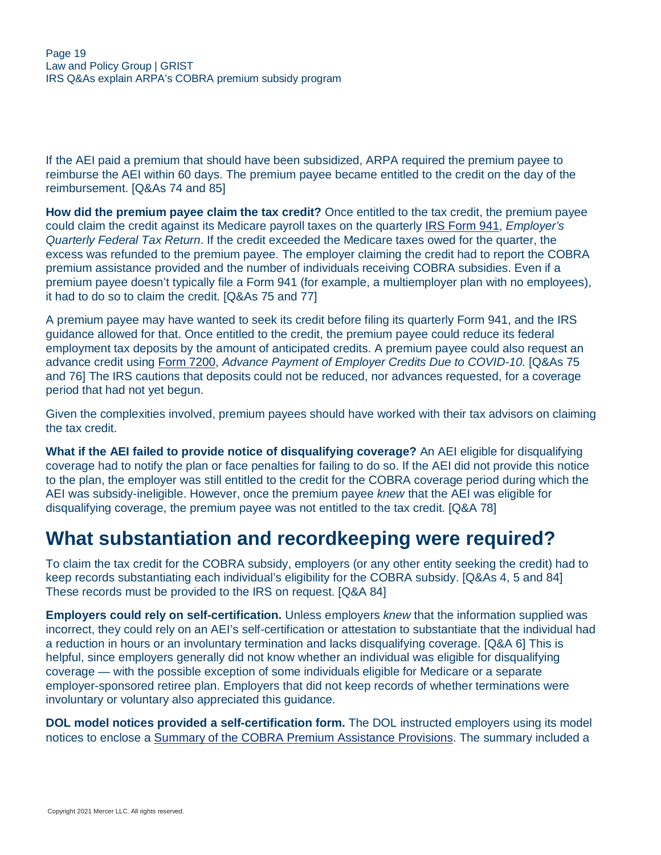If the AEI paid a premium that should have been subsidized, ARPA required the premium payee to reimburse the AEI within 60 days. The premium payee became entitled to the credit on the day of the reimbursement. [Q&As 74 and 85]

**How did the premium payee claim the tax credit?** Once entitled to the tax credit, the premium payee could claim the credit against its Medicare payroll taxes on the quarterly [IRS Form 941,](https://www.irs.gov/forms-pubs/about-form-941) *Employer's Quarterly Federal Tax Return*. If the credit exceeded the Medicare taxes owed for the quarter, the excess was refunded to the premium payee. The employer claiming the credit had to report the COBRA premium assistance provided and the number of individuals receiving COBRA subsidies. Even if a premium payee doesn't typically file a Form 941 (for example, a multiemployer plan with no employees), it had to do so to claim the credit. [Q&As 75 and 77]

A premium payee may have wanted to seek its credit before filing its quarterly Form 941, and the IRS guidance allowed for that. Once entitled to the credit, the premium payee could reduce its federal employment tax deposits by the amount of anticipated credits. A premium payee could also request an advance credit using [Form 7200,](https://www.irs.gov/forms-pubs/about-form-7200) *Advance Payment of Employer Credits Due to COVID-10.* [Q&As 75 and 76] The IRS cautions that deposits could not be reduced, nor advances requested, for a coverage period that had not yet begun.

Given the complexities involved, premium payees should have worked with their tax advisors on claiming the tax credit.

**What if the AEI failed to provide notice of disqualifying coverage?** An AEI eligible for disqualifying coverage had to notify the plan or face penalties for failing to do so. If the AEI did not provide this notice to the plan, the employer was still entitled to the credit for the COBRA coverage period during which the AEI was subsidy-ineligible. However, once the premium payee *knew* that the AEI was eligible for disqualifying coverage, the premium payee was not entitled to the tax credit. [Q&A 78]

### <span id="page-18-0"></span>**What substantiation and recordkeeping were required?**

To claim the tax credit for the COBRA subsidy, employers (or any other entity seeking the credit) had to keep records substantiating each individual's eligibility for the COBRA subsidy. [Q&As 4, 5 and 84] These records must be provided to the IRS on request. [Q&A 84]

**Employers could rely on self-certification.** Unless employers *knew* that the information supplied was incorrect, they could rely on an AEI's self-certification or attestation to substantiate that the individual had a reduction in hours or an involuntary termination and lacks disqualifying coverage. [Q&A 6] This is helpful, since employers generally did not know whether an individual was eligible for disqualifying coverage — with the possible exception of some individuals eligible for Medicare or a separate employer-sponsored retiree plan. Employers that did not keep records of whether terminations were involuntary or voluntary also appreciated this guidance.

**DOL model notices provided a self-certification form.** The DOL instructed employers using its model notices to enclose a [Summary of the COBRA Premium Assistance Provisions.](https://www.dol.gov/sites/dolgov/files/ebsa/laws-and-regulations/laws/cobra/premium-subsidy/summary-of-provisions.docx) The summary included a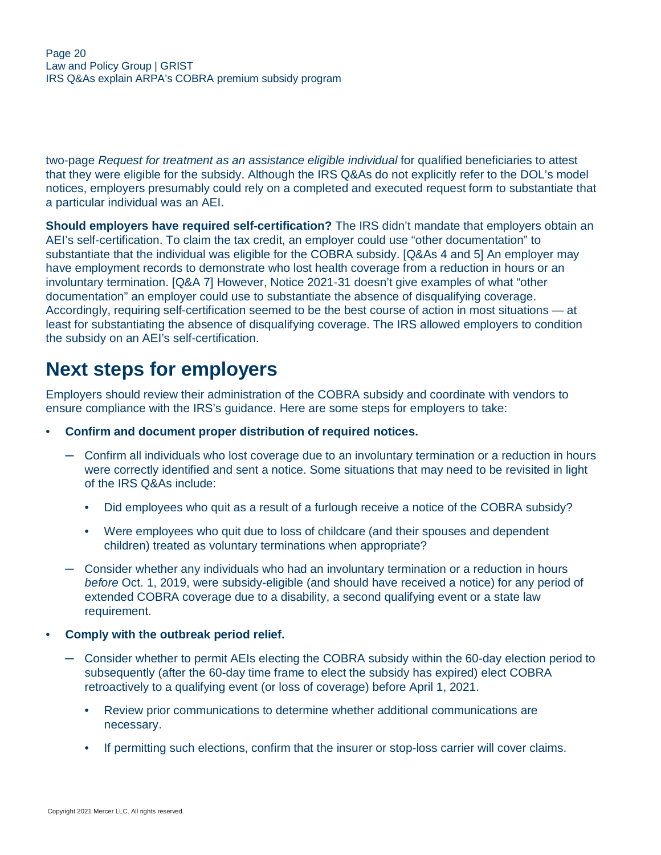two-page *Request for treatment as an assistance eligible individual* for qualified beneficiaries to attest that they were eligible for the subsidy. Although the IRS Q&As do not explicitly refer to the DOL's model notices, employers presumably could rely on a completed and executed request form to substantiate that a particular individual was an AEI.

**Should employers have required self-certification?** The IRS didn't mandate that employers obtain an AEI's self-certification. To claim the tax credit, an employer could use "other documentation" to substantiate that the individual was eligible for the COBRA subsidy. [Q&As 4 and 5] An employer may have employment records to demonstrate who lost health coverage from a reduction in hours or an involuntary termination. [Q&A 7] However, Notice 2021-31 doesn't give examples of what "other documentation" an employer could use to substantiate the absence of disqualifying coverage. Accordingly, requiring self-certification seemed to be the best course of action in most situations — at least for substantiating the absence of disqualifying coverage. The IRS allowed employers to condition the subsidy on an AEI's self-certification.

# <span id="page-19-0"></span>**Next steps for employers**

Employers should review their administration of the COBRA subsidy and coordinate with vendors to ensure compliance with the IRS's guidance. Here are some steps for employers to take:

- **Confirm and document proper distribution of required notices.**
	- ─ Confirm all individuals who lost coverage due to an involuntary termination or a reduction in hours were correctly identified and sent a notice. Some situations that may need to be revisited in light of the IRS Q&As include:
		- Did employees who quit as a result of a furlough receive a notice of the COBRA subsidy?
		- Were employees who quit due to loss of childcare (and their spouses and dependent children) treated as voluntary terminations when appropriate?
	- ─ Consider whether any individuals who had an involuntary termination or a reduction in hours *before* Oct. 1, 2019, were subsidy-eligible (and should have received a notice) for any period of extended COBRA coverage due to a disability, a second qualifying event or a state law requirement.
- **Comply with the outbreak period relief.**
	- Consider whether to permit AEIs electing the COBRA subsidy within the 60-day election period to subsequently (after the 60-day time frame to elect the subsidy has expired) elect COBRA retroactively to a qualifying event (or loss of coverage) before April 1, 2021.
		- Review prior communications to determine whether additional communications are necessary.
		- If permitting such elections, confirm that the insurer or stop-loss carrier will cover claims.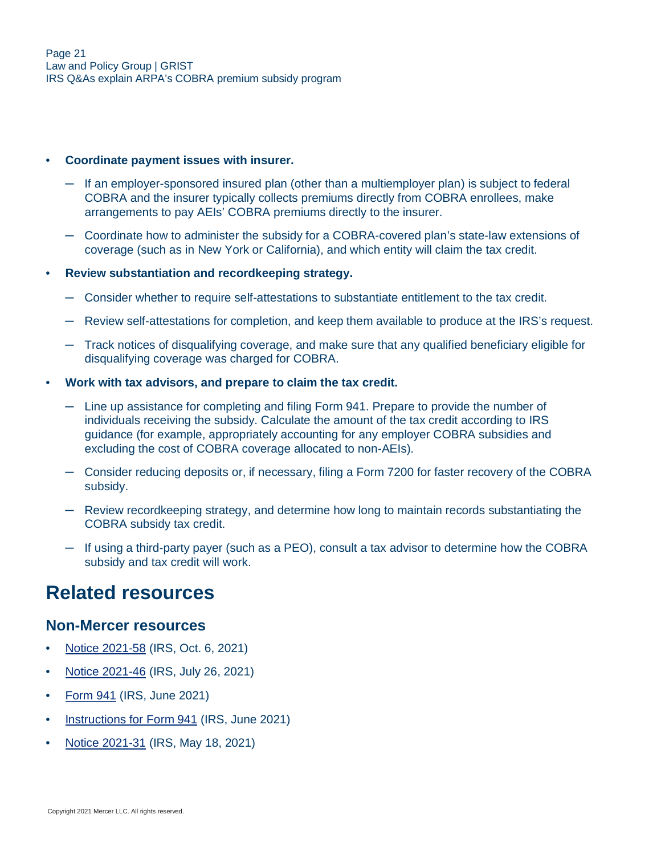#### • **Coordinate payment issues with insurer.**

- $-$  If an employer-sponsored insured plan (other than a multiemployer plan) is subject to federal COBRA and the insurer typically collects premiums directly from COBRA enrollees, make arrangements to pay AEIs' COBRA premiums directly to the insurer.
- ─ Coordinate how to administer the subsidy for a COBRA-covered plan's state-law extensions of coverage (such as in New York or California), and which entity will claim the tax credit.

#### • **Review substantiation and recordkeeping strategy.**

- ─ Consider whether to require self-attestations to substantiate entitlement to the tax credit.
- ─ Review self-attestations for completion, and keep them available to produce at the IRS's request.
- ─ Track notices of disqualifying coverage, and make sure that any qualified beneficiary eligible for disqualifying coverage was charged for COBRA.
- **Work with tax advisors, and prepare to claim the tax credit.**
	- ─ Line up assistance for completing and filing Form 941. Prepare to provide the number of individuals receiving the subsidy. Calculate the amount of the tax credit according to IRS guidance (for example, appropriately accounting for any employer COBRA subsidies and excluding the cost of COBRA coverage allocated to non-AEIs).
	- ─ Consider reducing deposits or, if necessary, filing a Form 7200 for faster recovery of the COBRA subsidy.
	- ─ Review recordkeeping strategy, and determine how long to maintain records substantiating the COBRA subsidy tax credit.
	- ─ If using a third-party payer (such as a PEO), consult a tax advisor to determine how the COBRA subsidy and tax credit will work.

### <span id="page-20-0"></span>**Related resources**

#### **Non-Mercer resources**

- [Notice 2021-58](https://www.irs.gov/pub/irs-drop/n-21-58.pdf) (IRS, Oct. 6, 2021)
- [Notice 2021-46](https://www.irs.gov/pub/irs-drop/n-21-46.pdf) (IRS, July 26, 2021)
- [Form 941](https://www.irs.gov/pub/irs-pdf/f941.pdf) (IRS, June 2021)
- [Instructions for Form 941](https://www.irs.gov/instructions/i941) (IRS, June 2021)
- [Notice 2021-31](https://www.irs.gov/pub/irs-drop/n-21-31.pdf) (IRS, May 18, 2021)